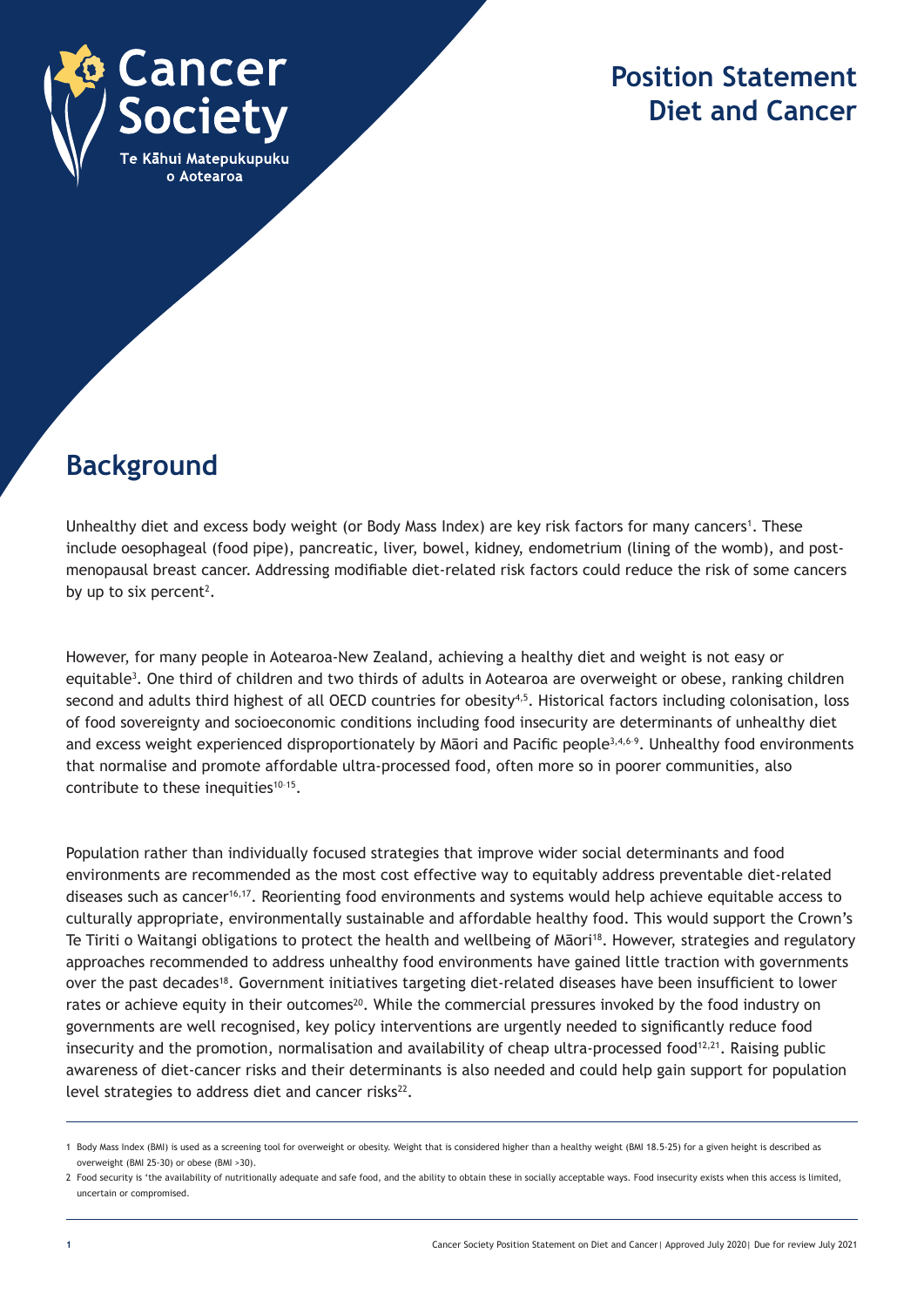

## **Position Statement Diet and Cancer**

## **Background**

Unhealthy diet and excess body weight (or Body Mass Index) are key risk factors for many cancers<sup>1</sup>. These include oesophageal (food pipe), pancreatic, liver, bowel, kidney, endometrium (lining of the womb), and postmenopausal breast cancer. Addressing modifiable diet-related risk factors could reduce the risk of some cancers by up to six percent<sup>2</sup>.

However, for many people in Aotearoa-New Zealand, achieving a healthy diet and weight is not easy or equitable<sup>3</sup>. One third of children and two thirds of adults in Aotearoa are overweight or obese, ranking children second and adults third highest of all OECD countries for obesity<sup>4,5</sup>. Historical factors including colonisation, loss of food sovereignty and socioeconomic conditions including food insecurity are determinants of unhealthy diet and excess weight experienced disproportionately by Māori and Pacific people<sup>3,4,6-9</sup>. Unhealthy food environments that normalise and promote affordable ultra-processed food, often more so in poorer communities, also contribute to these inequities $10-15$ .

Population rather than individually focused strategies that improve wider social determinants and food environments are recommended as the most cost effective way to equitably address preventable diet-related diseases such as cancer16,17. Reorienting food environments and systems would help achieve equitable access to culturally appropriate, environmentally sustainable and affordable healthy food. This would support the Crown's Te Tiriti o Waitangi obligations to protect the health and wellbeing of Māori<sup>18</sup>. However, strategies and regulatory approaches recommended to address unhealthy food environments have gained little traction with governments over the past decades18. Government initiatives targeting diet-related diseases have been insufficient to lower rates or achieve equity in their outcomes<sup>20</sup>. While the commercial pressures invoked by the food industry on governments are well recognised, key policy interventions are urgently needed to significantly reduce food insecurity and the promotion, normalisation and availability of cheap ultra-processed food<sup>12,21</sup>. Raising public awareness of diet-cancer risks and their determinants is also needed and could help gain support for population level strategies to address diet and cancer risks<sup>22</sup>.

<sup>1</sup> Body Mass Index (BMI) is used as a screening tool for overweight or obesity. Weight that is considered higher than a healthy weight (BMI 18.5-25) for a given height is described as overweight (BMI 25-30) or obese (BMI >30).

<sup>2</sup> Food security is 'the availability of nutritionally adequate and safe food, and the ability to obtain these in socially acceptable ways. Food insecurity exists when this access is limited, uncertain or compromised.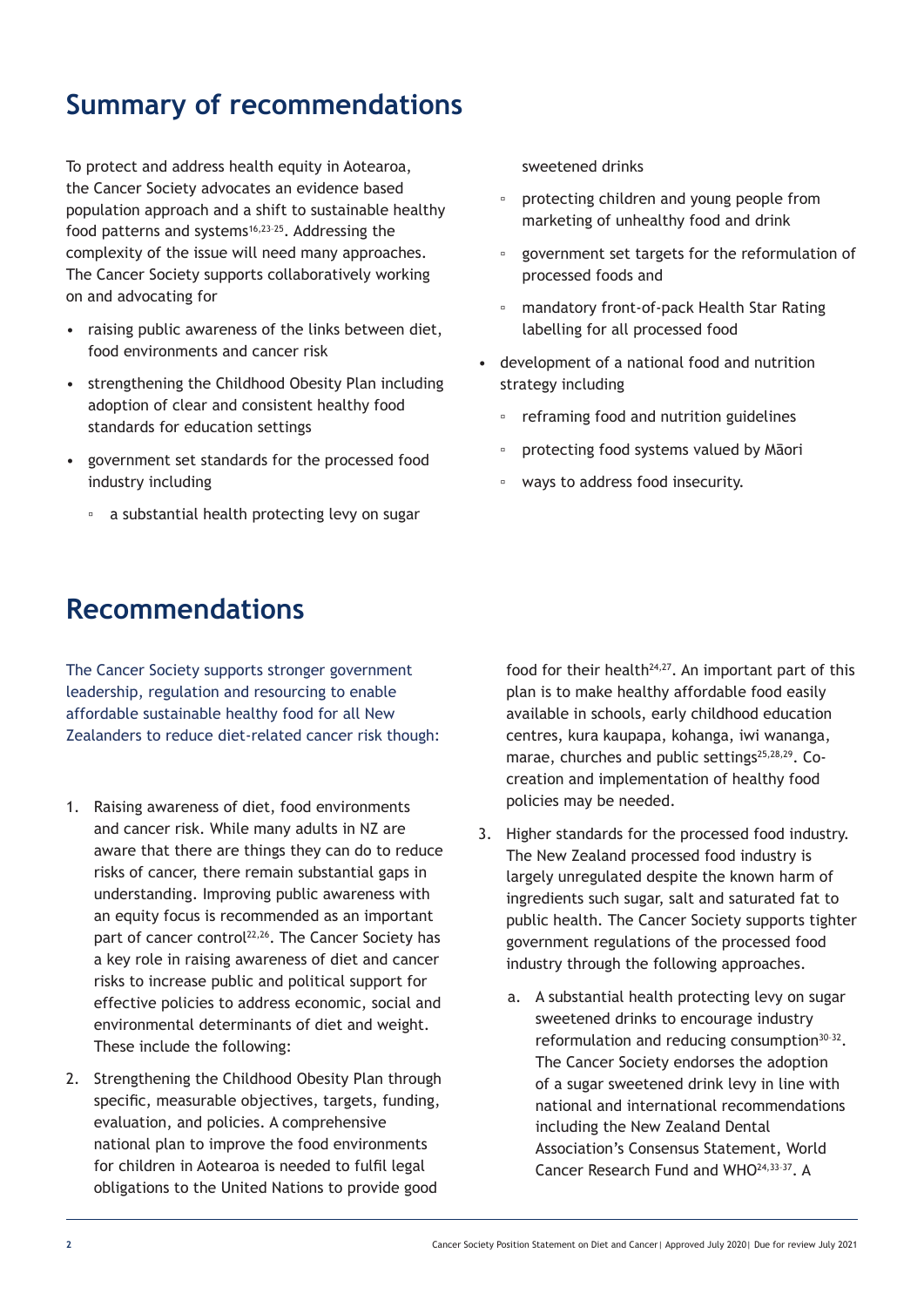# **Summary of recommendations**

To protect and address health equity in Aotearoa, the Cancer Society advocates an evidence based population approach and a shift to sustainable healthy food patterns and systems $16,23-25$ . Addressing the complexity of the issue will need many approaches. The Cancer Society supports collaboratively working on and advocating for

- raising public awareness of the links between diet, food environments and cancer risk
- strengthening the Childhood Obesity Plan including adoption of clear and consistent healthy food standards for education settings
- government set standards for the processed food industry including
	- a substantial health protecting levy on sugar

### **Recommendations**

The Cancer Society supports stronger government leadership, regulation and resourcing to enable affordable sustainable healthy food for all New Zealanders to reduce diet-related cancer risk though:

- 1. Raising awareness of diet, food environments and cancer risk. While many adults in NZ are aware that there are things they can do to reduce risks of cancer, there remain substantial gaps in understanding. Improving public awareness with an equity focus is recommended as an important part of cancer control<sup>22,26</sup>. The Cancer Society has a key role in raising awareness of diet and cancer risks to increase public and political support for effective policies to address economic, social and environmental determinants of diet and weight. These include the following:
- 2. Strengthening the Childhood Obesity Plan through specific, measurable objectives, targets, funding, evaluation, and policies. A comprehensive national plan to improve the food environments for children in Aotearoa is needed to fulfil legal obligations to the United Nations to provide good

sweetened drinks

- protecting children and young people from marketing of unhealthy food and drink
- government set targets for the reformulation of processed foods and
- mandatory front-of-pack Health Star Rating labelling for all processed food
- development of a national food and nutrition strategy including
	- reframing food and nutrition guidelines
	- protecting food systems valued by Māori
	- ways to address food insecurity.

food for their health $24,27$ . An important part of this plan is to make healthy affordable food easily available in schools, early childhood education centres, kura kaupapa, kohanga, iwi wananga, marae, churches and public settings<sup>25,28,29</sup>. Cocreation and implementation of healthy food policies may be needed.

- 3. Higher standards for the processed food industry. The New Zealand processed food industry is largely unregulated despite the known harm of ingredients such sugar, salt and saturated fat to public health. The Cancer Society supports tighter government regulations of the processed food industry through the following approaches.
	- a. A substantial health protecting levy on sugar sweetened drinks to encourage industry reformulation and reducing consumption<sup>30-32</sup>. The Cancer Society endorses the adoption of a sugar sweetened drink levy in line with national and international recommendations including the New Zealand Dental Association's Consensus Statement, World Cancer Research Fund and WHO24,33–37. A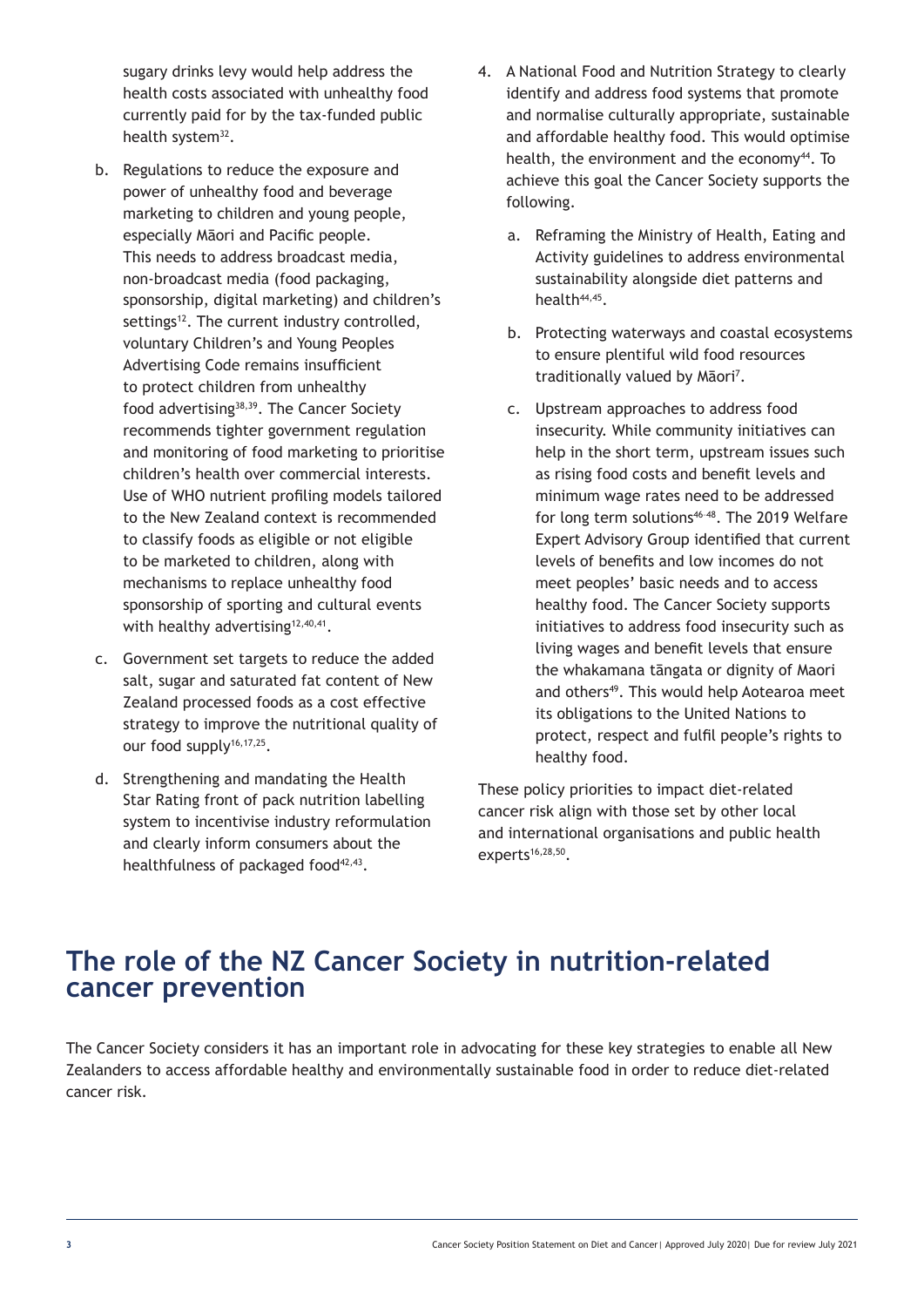sugary drinks levy would help address the health costs associated with unhealthy food currently paid for by the tax-funded public health system<sup>32</sup>.

- b. Regulations to reduce the exposure and power of unhealthy food and beverage marketing to children and young people, especially Māori and Pacific people. This needs to address broadcast media, non-broadcast media (food packaging, sponsorship, digital marketing) and children's settings<sup>12</sup>. The current industry controlled, voluntary Children's and Young Peoples Advertising Code remains insufficient to protect children from unhealthy food advertising38,39. The Cancer Society recommends tighter government regulation and monitoring of food marketing to prioritise children's health over commercial interests. Use of WHO nutrient profiling models tailored to the New Zealand context is recommended to classify foods as eligible or not eligible to be marketed to children, along with mechanisms to replace unhealthy food sponsorship of sporting and cultural events with healthy advertising<sup>12,40,41</sup>.
- c. Government set targets to reduce the added salt, sugar and saturated fat content of New Zealand processed foods as a cost effective strategy to improve the nutritional quality of our food supply<sup>16,17,25</sup>.
- d. Strengthening and mandating the Health Star Rating front of pack nutrition labelling system to incentivise industry reformulation and clearly inform consumers about the healthfulness of packaged food<sup>42,43</sup>.
- 4. A National Food and Nutrition Strategy to clearly identify and address food systems that promote and normalise culturally appropriate, sustainable and affordable healthy food. This would optimise health, the environment and the economy<sup>44</sup>. To achieve this goal the Cancer Society supports the following.
	- a. Reframing the Ministry of Health, Eating and Activity guidelines to address environmental sustainability alongside diet patterns and health<sup>44,45</sup>.
	- b. Protecting waterways and coastal ecosystems to ensure plentiful wild food resources traditionally valued by Māori<sup>7</sup>.
	- c. Upstream approaches to address food insecurity. While community initiatives can help in the short term, upstream issues such as rising food costs and benefit levels and minimum wage rates need to be addressed for long term solutions<sup>46-48</sup>. The 2019 Welfare Expert Advisory Group identified that current levels of benefits and low incomes do not meet peoples' basic needs and to access healthy food. The Cancer Society supports initiatives to address food insecurity such as living wages and benefit levels that ensure the whakamana tāngata or dignity of Maori and others<sup>49</sup>. This would help Aotearoa meet its obligations to the United Nations to protect, respect and fulfil people's rights to healthy food.

These policy priorities to impact diet-related cancer risk align with those set by other local and international organisations and public health  $experts^{16,28,50}$ .

#### **The role of the NZ Cancer Society in nutrition-related cancer prevention**

The Cancer Society considers it has an important role in advocating for these key strategies to enable all New Zealanders to access affordable healthy and environmentally sustainable food in order to reduce diet-related cancer risk.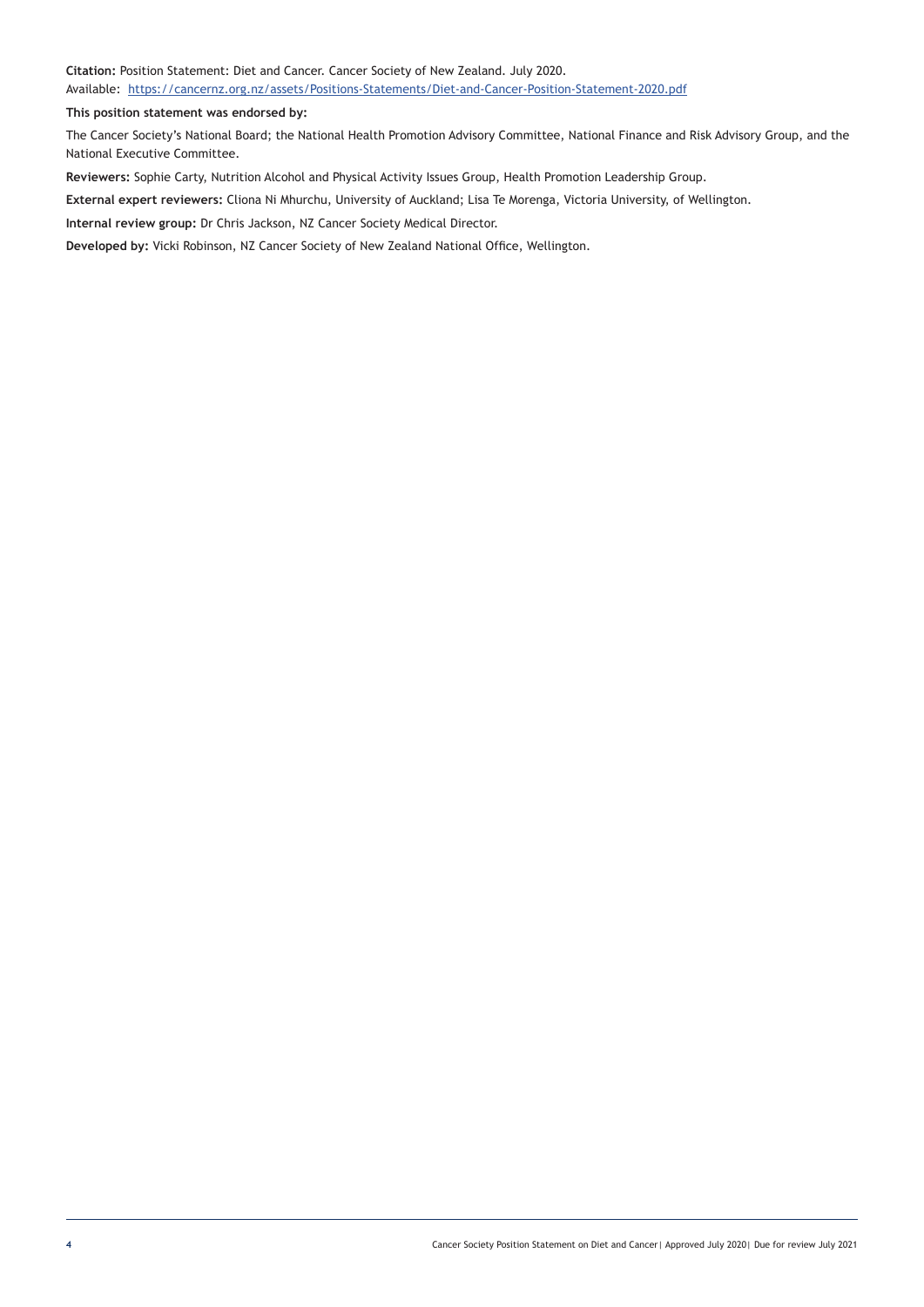**Citation:** Position Statement: Diet and Cancer. Cancer Society of New Zealand. July 2020. Available: https://cancernz.org.nz/assets/Positions-Statements/Diet-and-Cancer-Position-Statement-2020.pdf

**This position statement was endorsed by:** 

The Cancer Society's National Board; the National Health Promotion Advisory Committee, National Finance and Risk Advisory Group, and the National Executive Committee.

**Reviewers:** Sophie Carty, Nutrition Alcohol and Physical Activity Issues Group, Health Promotion Leadership Group.

**External expert reviewers:** Cliona Ni Mhurchu, University of Auckland; Lisa Te Morenga, Victoria University, of Wellington.

**Internal review group:** Dr Chris Jackson, NZ Cancer Society Medical Director.

**Developed by:** Vicki Robinson, NZ Cancer Society of New Zealand National Office, Wellington.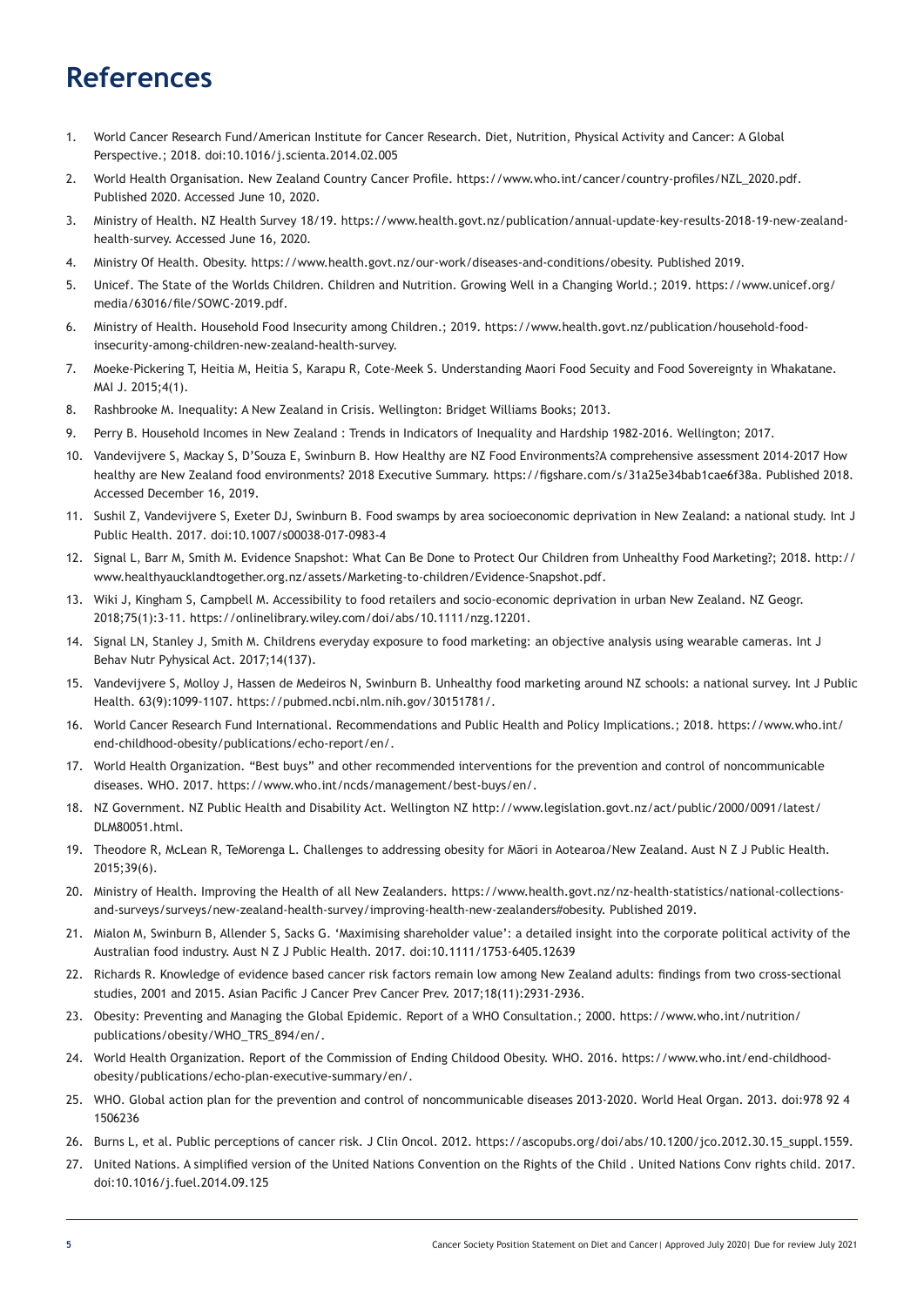## **References**

- 1. World Cancer Research Fund/American Institute for Cancer Research. Diet, Nutrition, Physical Activity and Cancer: A Global Perspective.; 2018. doi:10.1016/j.scienta.2014.02.005
- 2. World Health Organisation. New Zealand Country Cancer Profile. https://www.who.int/cancer/country-profiles/NZL\_2020.pdf. Published 2020. Accessed June 10, 2020.
- 3. Ministry of Health. NZ Health Survey 18/19. https://www.health.govt.nz/publication/annual-update-key-results-2018-19-new-zealandhealth-survey. Accessed June 16, 2020.
- 4. Ministry Of Health. Obesity. https://www.health.govt.nz/our-work/diseases-and-conditions/obesity. Published 2019.
- 5. Unicef. The State of the Worlds Children. Children and Nutrition. Growing Well in a Changing World.; 2019. https://www.unicef.org/ media/63016/file/SOWC-2019.pdf.
- 6. Ministry of Health. Household Food Insecurity among Children.; 2019. https://www.health.govt.nz/publication/household-foodinsecurity-among-children-new-zealand-health-survey.
- 7. Moeke-Pickering T, Heitia M, Heitia S, Karapu R, Cote-Meek S. Understanding Maori Food Secuity and Food Sovereignty in Whakatane. MAI J. 2015;4(1).
- 8. Rashbrooke M. Inequality: A New Zealand in Crisis. Wellington: Bridget Williams Books; 2013.
- 9. Perry B. Household Incomes in New Zealand : Trends in Indicators of Inequality and Hardship 1982-2016. Wellington; 2017.
- 10. Vandevijvere S, Mackay S, D'Souza E, Swinburn B. How Healthy are NZ Food Environments?A comprehensive assessment 2014-2017 How healthy are New Zealand food environments? 2018 Executive Summary. https://figshare.com/s/31a25e34bab1cae6f38a. Published 2018. Accessed December 16, 2019.
- 11. Sushil Z, Vandevijvere S, Exeter DJ, Swinburn B. Food swamps by area socioeconomic deprivation in New Zealand: a national study. Int J Public Health. 2017. doi:10.1007/s00038-017-0983-4
- 12. Signal L, Barr M, Smith M. Evidence Snapshot: What Can Be Done to Protect Our Children from Unhealthy Food Marketing?; 2018. http:// www.healthyaucklandtogether.org.nz/assets/Marketing-to-children/Evidence-Snapshot.pdf.
- 13. Wiki J, Kingham S, Campbell M. Accessibility to food retailers and socio‐economic deprivation in urban New Zealand. NZ Geogr. 2018;75(1):3-11. https://onlinelibrary.wiley.com/doi/abs/10.1111/nzg.12201.
- 14. Signal LN, Stanley J, Smith M. Childrens everyday exposure to food marketing: an objective analysis using wearable cameras. Int J Behav Nutr Pyhysical Act. 2017;14(137).
- 15. Vandevijvere S, Molloy J, Hassen de Medeiros N, Swinburn B. Unhealthy food marketing around NZ schools: a national survey. Int J Public Health. 63(9):1099-1107. https://pubmed.ncbi.nlm.nih.gov/30151781/.
- 16. World Cancer Research Fund International. Recommendations and Public Health and Policy Implications.; 2018. https://www.who.int/ end-childhood-obesity/publications/echo-report/en/.
- 17. World Health Organization. "Best buys" and other recommended interventions for the prevention and control of noncommunicable diseases. WHO. 2017. https://www.who.int/ncds/management/best-buys/en/.
- 18. NZ Government. NZ Public Health and Disability Act. Wellington NZ http://www.legislation.govt.nz/act/public/2000/0091/latest/ DLM80051.html.
- 19. Theodore R, McLean R, TeMorenga L. Challenges to addressing obesity for Māori in Aotearoa/New Zealand. Aust N Z J Public Health. 2015;39(6).
- 20. Ministry of Health. Improving the Health of all New Zealanders. https://www.health.govt.nz/nz-health-statistics/national-collectionsand-surveys/surveys/new-zealand-health-survey/improving-health-new-zealanders#obesity. Published 2019.
- 21. Mialon M, Swinburn B, Allender S, Sacks G. 'Maximising shareholder value': a detailed insight into the corporate political activity of the Australian food industry. Aust N Z J Public Health. 2017. doi:10.1111/1753-6405.12639
- 22. Richards R. Knowledge of evidence based cancer risk factors remain low among New Zealand adults: findings from two cross-sectional studies, 2001 and 2015. Asian Pacific J Cancer Prev Cancer Prev. 2017;18(11):2931-2936.
- 23. Obesity: Preventing and Managing the Global Epidemic. Report of a WHO Consultation.; 2000. https://www.who.int/nutrition/ publications/obesity/WHO\_TRS\_894/en/.
- 24. World Health Organization. Report of the Commission of Ending Childood Obesity. WHO. 2016. https://www.who.int/end-childhoodobesity/publications/echo-plan-executive-summary/en/.
- 25. WHO. Global action plan for the prevention and control of noncommunicable diseases 2013-2020. World Heal Organ. 2013. doi:978 92 4 1506236
- 26. Burns L, et al. Public perceptions of cancer risk. J Clin Oncol. 2012. https://ascopubs.org/doi/abs/10.1200/jco.2012.30.15\_suppl.1559.
- 27. United Nations. A simplified version of the United Nations Convention on the Rights of the Child . United Nations Conv rights child. 2017. doi:10.1016/j.fuel.2014.09.125